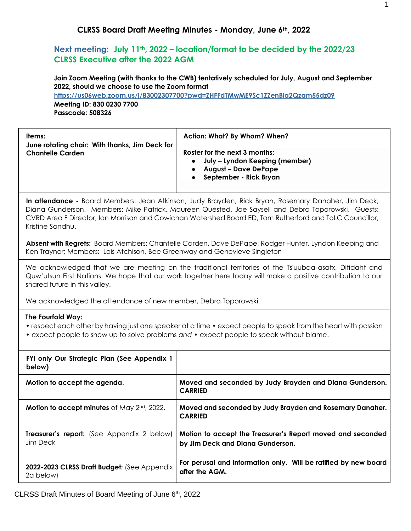## **Next meeting: July 11th, 2022 – location/format to be decided by the 2022/23 CLRSS Executive after the 2022 AGM**

**Join Zoom Meeting (with thanks to the CWB) tentatively scheduled for July, August and September 2022, should we choose to use the Zoom format**

**<https://us06web.zoom.us/j/83002307700?pwd=ZHFFdTMwME9Sc1ZZenBla2Qzam55dz09> Meeting ID: 830 0230 7700 Passcode: 508326**

| Items:<br>June rotating chair: With thanks, Jim Deck for | Action: What? By Whom? When?                                                                                             |
|----------------------------------------------------------|--------------------------------------------------------------------------------------------------------------------------|
| <b>Chantelle Carden</b>                                  | Roster for the next 3 months:<br>July – Lyndon Keeping (member)<br><b>August – Dave DePape</b><br>September - Rick Bryan |

**In attendance -** Board Members: Jean Atkinson, Judy Brayden, Rick Bryan, Rosemary Danaher, Jim Deck, Diana Gunderson. Members: Mike Patrick, Maureen Quested, Joe Saysell and Debra Toporowski. Guests: CVRD Area F Director, Ian Morrison and Cowichan Watershed Board ED, Tom Rutherford and ToLC Councillor, Kristine Sandhu.

**Absent with Regrets:** Board Members: Chantelle Carden, Dave DePape, Rodger Hunter, Lyndon Keeping and Ken Traynor; Members: Lois Atchison, Bee Greenway and Genevieve Singleton

We acknowledged that we are meeting on the traditional territories of the Ts'uubaa-asatx, Ditidaht and Quw'utsun First Nations. We hope that our work together here today will make a positive contribution to our shared future in this valley.

We acknowledged the attendance of new member, Debra Toporowski.

#### **The Fourfold Way:**

• respect each other by having just one speaker at a time • expect people to speak from the heart with passion

• expect people to show up to solve problems *and* • expect people to speak without blame.

| FYI only Our Strategic Plan (See Appendix 1<br>below)    |                                                                                                |
|----------------------------------------------------------|------------------------------------------------------------------------------------------------|
| Motion to accept the agenda.                             | Moved and seconded by Judy Brayden and Diana Gunderson.<br><b>CARRIED</b>                      |
| Motion to accept minutes of May 2 <sup>nd</sup> , 2022.  | Moved and seconded by Judy Brayden and Rosemary Danaher.<br><b>CARRIED</b>                     |
| Treasurer's report: (See Appendix 2 below)<br>Jim Deck   | Motion to accept the Treasurer's Report moved and seconded<br>by Jim Deck and Diana Gunderson. |
| 2022-2023 CLRSS Draft Budget: (See Appendix<br>2a below) | For perusal and information only. Will be ratified by new board<br>after the AGM.              |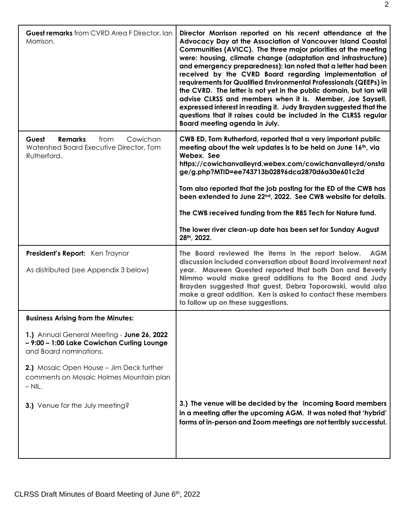| <b>Guest remarks</b> from CVRD Area F Director, Ian<br>Morrison.                                                                                                                                                      | Director Morrison reported on his recent attendance at the<br>Advocacy Day at the Association of Vancouver Island Coastal<br>Communities (AVICC). The three major priorities at the meeting<br>were: housing, climate change (adaptation and infrastructure)<br>and emergency preparedness); lan noted that a letter had been<br>received by the CVRD Board regarding implementation of<br>requirements for Qualified Environmental Professionals (QEEPs) in<br>the CVRD. The letter is not yet in the public domain, but Ian will<br>advise CLRSS and members when it is. Member, Joe Saysell,<br>expressed interest in reading it. Judy Brayden suggested that the<br>questions that it raises could be included in the CLRSS regular<br>Board meeting agenda in July. |
|-----------------------------------------------------------------------------------------------------------------------------------------------------------------------------------------------------------------------|--------------------------------------------------------------------------------------------------------------------------------------------------------------------------------------------------------------------------------------------------------------------------------------------------------------------------------------------------------------------------------------------------------------------------------------------------------------------------------------------------------------------------------------------------------------------------------------------------------------------------------------------------------------------------------------------------------------------------------------------------------------------------|
| <b>Remarks</b><br>Cowichan<br>Guest<br>from<br>Watershed Board Executive Director, Tom<br>Rutherford.                                                                                                                 | CWB ED, Tom Rutherford, reported that a very important public<br>meeting about the weir updates is to be held on June 16th, via<br>Webex. See<br>https://cowichanvalleyrd.webex.com/cowichanvalleyrd/onsta<br>ge/g.php?MTID=ee743713b02896dca2870d6a30e601c2d<br>Tom also reported that the job posting for the ED of the CWB has<br>been extended to June 22nd, 2022. See CWB website for details.<br>The CWB received funding from the RBS Tech for Nature fund.<br>The lower river clean-up date has been set for Sunday August<br>28th, 2022.                                                                                                                                                                                                                        |
| President's Report: Ken Traynor<br>As distributed (see Appendix 3 below)                                                                                                                                              | The Board reviewed the items in the report below.<br><b>AGM</b><br>discussion included conversation about Board involvement next<br>year. Maureen Quested reported that both Don and Beverly<br>Nimmo would make great additions to the Board and Judy<br>Brayden suggested that guest, Debra Toporowski, would also<br>make a great addition. Ken is asked to contact these members<br>to follow up on these suggestions.                                                                                                                                                                                                                                                                                                                                               |
| <b>Business Arising from the Minutes:</b>                                                                                                                                                                             |                                                                                                                                                                                                                                                                                                                                                                                                                                                                                                                                                                                                                                                                                                                                                                          |
| 1.) Annual General Meeting - June 26, 2022<br>- 9:00 - 1:00 Lake Cowichan Curling Lounge<br>and Board nominations.<br>2.) Mosaic Open House - Jim Deck further<br>comments on Mosaic Holmes Mountain plan<br>$-$ NIL. |                                                                                                                                                                                                                                                                                                                                                                                                                                                                                                                                                                                                                                                                                                                                                                          |
| 3.) Venue for the July meeting?                                                                                                                                                                                       | 3.) The venue will be decided by the incoming Board members<br>in a meeting after the upcoming AGM. It was noted that 'hybrid'<br>forms of in-person and Zoom meetings are not terribly successful.                                                                                                                                                                                                                                                                                                                                                                                                                                                                                                                                                                      |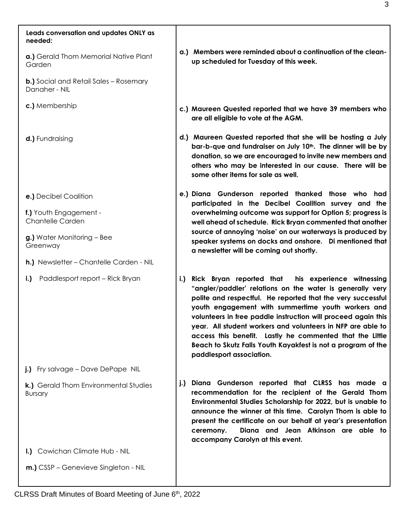| Leads conversation and updates ONLY as<br>needed:              |     |                                                                                                                                                                                                                                                                                                                                                                                                                                                                                                                                 |
|----------------------------------------------------------------|-----|---------------------------------------------------------------------------------------------------------------------------------------------------------------------------------------------------------------------------------------------------------------------------------------------------------------------------------------------------------------------------------------------------------------------------------------------------------------------------------------------------------------------------------|
| a.) Gerald Thom Memorial Native Plant<br>Garden                |     | a.) Members were reminded about a continuation of the clean-<br>up scheduled for Tuesday of this week.                                                                                                                                                                                                                                                                                                                                                                                                                          |
| <b>b.)</b> Social and Retail Sales – Rosemary<br>Danaher - NIL |     |                                                                                                                                                                                                                                                                                                                                                                                                                                                                                                                                 |
| c.) Membership                                                 |     | c.) Maureen Quested reported that we have 39 members who<br>are all eligible to vote at the AGM.                                                                                                                                                                                                                                                                                                                                                                                                                                |
| d.) Fundraising                                                |     | d.) Maureen Quested reported that she will be hosting a July<br>bar-b-que and fundraiser on July 10 <sup>th</sup> . The dinner will be by<br>donation, so we are encouraged to invite new members and<br>others who may be interested in our cause. There will be<br>some other items for sale as well.                                                                                                                                                                                                                         |
| e.) Decibel Coalition                                          |     | e.) Diana Gunderson reported thanked those who had<br>participated in the Decibel Coalition survey and the                                                                                                                                                                                                                                                                                                                                                                                                                      |
| f.) Youth Engagement -<br><b>Chantelle Carden</b>              |     | overwhelming outcome was support for Option 5; progress is<br>well ahead of schedule. Rick Bryan commented that another                                                                                                                                                                                                                                                                                                                                                                                                         |
| g.) Water Monitoring - Bee<br>Greenway                         |     | source of annoying 'noise' on our waterways is produced by<br>speaker systems on docks and onshore. Di mentioned that<br>a newsletter will be coming out shortly.                                                                                                                                                                                                                                                                                                                                                               |
| h.) Newsletter - Chantelle Carden - NIL                        |     |                                                                                                                                                                                                                                                                                                                                                                                                                                                                                                                                 |
| Paddlesport report - Rick Bryan<br>$i$ .                       | i.) | Rick Bryan reported that<br>his experience witnessing<br>"angler/paddler' relations on the water is generally very<br>polite and respectful. He reported that the very successful<br>youth engagement with summertime youth workers and<br>volunteers in free paddle instruction will proceed again this<br>year. All student workers and volunteers in NFP are able to<br>access this benefit. Lastly he commented that the Little<br>Beach to Skutz Falls Youth Kayakfest is not a program of the<br>paddlesport association. |
| j.) Fry salvage - Dave DePape NIL                              |     |                                                                                                                                                                                                                                                                                                                                                                                                                                                                                                                                 |
| k.) Gerald Thom Environmental Studies<br><b>Bursary</b>        | j.) | Diana Gunderson reported that CLRSS has made a<br>recommendation for the recipient of the Gerald Thom<br>Environmental Studies Scholarship for 2022, but is unable to<br>announce the winner at this time. Carolyn Thom is able to<br>present the certificate on our behalf at year's presentation<br>Diana and Jean Atkinson are able to<br>ceremony.<br>accompany Carolyn at this event.                                                                                                                                      |
| I.) Cowichan Climate Hub - NIL                                 |     |                                                                                                                                                                                                                                                                                                                                                                                                                                                                                                                                 |
| <b>m.)</b> CSSP – Genevieve Singleton - NIL                    |     |                                                                                                                                                                                                                                                                                                                                                                                                                                                                                                                                 |

CLRSS Draft Minutes of Board Meeting of June 6<sup>th</sup>, 2022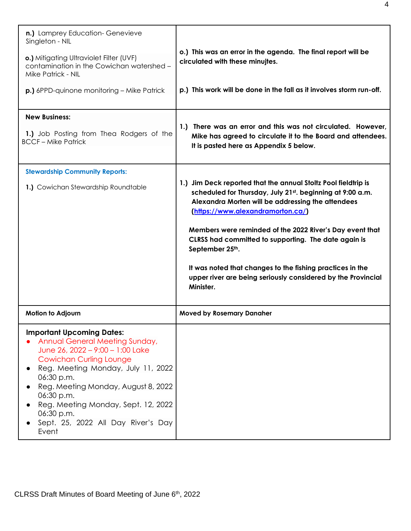| n.) Lamprey Education- Genevieve<br>Singleton - NIL<br>o.) Mitigating Ultraviolet Filter (UVF)<br>contamination in the Cowichan watershed -<br>Mike Patrick - NIL<br><b>p.)</b> 6PPD-quinone monitoring – Mike Patrick                                                                                                                                | o.) This was an error in the agenda. The final report will be<br>circulated with these minujtes.<br>p.) This work will be done in the fall as it involves storm run-off.                                                                                                                                                                                                                                                                                                                               |
|-------------------------------------------------------------------------------------------------------------------------------------------------------------------------------------------------------------------------------------------------------------------------------------------------------------------------------------------------------|--------------------------------------------------------------------------------------------------------------------------------------------------------------------------------------------------------------------------------------------------------------------------------------------------------------------------------------------------------------------------------------------------------------------------------------------------------------------------------------------------------|
| <b>New Business:</b><br>1.) Job Posting from Thea Rodgers of the<br><b>BCCF-Mike Patrick</b>                                                                                                                                                                                                                                                          | 1.) There was an error and this was not circulated. However,<br>Mike has agreed to circulate it to the Board and attendees.<br>It is pasted here as Appendix 5 below.                                                                                                                                                                                                                                                                                                                                  |
| <b>Stewardship Community Reports:</b><br>1.) Cowichan Stewardship Roundtable                                                                                                                                                                                                                                                                          | 1.) Jim Deck reported that the annual Stoltz Pool fieldtrip is<br>scheduled for Thursday, July 21st. beginning at 9:00 a.m.<br>Alexandra Morten will be addressing the attendees<br>(https://www.alexandramorton.ca/)<br>Members were reminded of the 2022 River's Day event that<br>CLRSS had committed to supporting. The date again is<br>September 25th.<br>It was noted that changes to the fishing practices in the<br>upper river are being seriously considered by the Provincial<br>Minister. |
| Motion to Adjourn                                                                                                                                                                                                                                                                                                                                     | <b>Moved by Rosemary Danaher</b>                                                                                                                                                                                                                                                                                                                                                                                                                                                                       |
| <b>Important Upcoming Dates:</b><br>Annual General Meeting Sunday,<br>June 26, 2022 - 9:00 - 1:00 Lake<br><b>Cowichan Curling Lounge</b><br>Reg. Meeting Monday, July 11, 2022<br>06:30 p.m.<br>Reg. Meeting Monday, August 8, 2022<br>06:30 p.m.<br>Reg. Meeting Monday, Sept. 12, 2022<br>06:30 p.m.<br>Sept. 25, 2022 All Day River's Day<br>Event |                                                                                                                                                                                                                                                                                                                                                                                                                                                                                                        |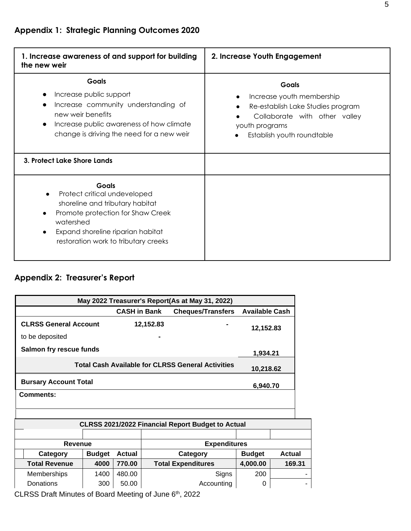| 1. Increase awareness of and support for building<br>the new weir                                                                                                                                              | 2. Increase Youth Engagement                                                                                                                                    |
|----------------------------------------------------------------------------------------------------------------------------------------------------------------------------------------------------------------|-----------------------------------------------------------------------------------------------------------------------------------------------------------------|
| <b>Goals</b><br>Increase public support<br>Increase community understanding of<br>new weir benefits<br>Increase public awareness of how climate<br>change is driving the need for a new weir                   | <b>Goals</b><br>Increase youth membership<br>Re-establish Lake Studies program<br>Collaborate with other valley<br>youth programs<br>Establish youth roundtable |
| 3. Protect Lake Shore Lands                                                                                                                                                                                    |                                                                                                                                                                 |
| <b>Goals</b><br>Protect critical undeveloped<br>shoreline and tributary habitat<br>Promote protection for Shaw Creek<br>watershed<br>Expand shoreline riparian habitat<br>restoration work to tributary creeks |                                                                                                                                                                 |

# **Appendix 2: Treasurer's Report**

| May 2022 Treasurer's Report(As at May 31, 2022)                |           |  |           |  |  |  |  |
|----------------------------------------------------------------|-----------|--|-----------|--|--|--|--|
| <b>Cheques/Transfers Available Cash</b><br><b>CASH in Bank</b> |           |  |           |  |  |  |  |
| <b>CLRSS General Account</b>                                   | 12,152.83 |  | 12,152.83 |  |  |  |  |
| to be deposited                                                |           |  |           |  |  |  |  |
| Salmon fry rescue funds                                        | 1.934.21  |  |           |  |  |  |  |
| <b>Total Cash Available for CLRSS General Activities</b>       | 10,218.62 |  |           |  |  |  |  |
| <b>Bursary Account Total</b><br>6,940.70                       |           |  |           |  |  |  |  |
| <b>Comments:</b>                                               |           |  |           |  |  |  |  |
|                                                                |           |  |           |  |  |  |  |

| <b>CLRSS 2021/2022 Financial Report Budget to Actual</b> |               |               |                                            |          |        |  |
|----------------------------------------------------------|---------------|---------------|--------------------------------------------|----------|--------|--|
|                                                          |               |               |                                            |          |        |  |
| Revenue                                                  |               |               | <b>Expenditures</b>                        |          |        |  |
| Category                                                 | <b>Budget</b> | <b>Actual</b> | <b>Budget</b><br>Category<br><b>Actual</b> |          |        |  |
| <b>Total Revenue</b>                                     | 4000          | 770.00        | <b>Total Expenditures</b>                  | 4,000.00 | 169.31 |  |
| Memberships                                              | 1400          | 480.00        | Signs                                      | 200      |        |  |
| Donations                                                | 300           | 50.00         | Accounting<br>0                            |          |        |  |

CLRSS Draft Minutes of Board Meeting of June 6<sup>th</sup>, 2022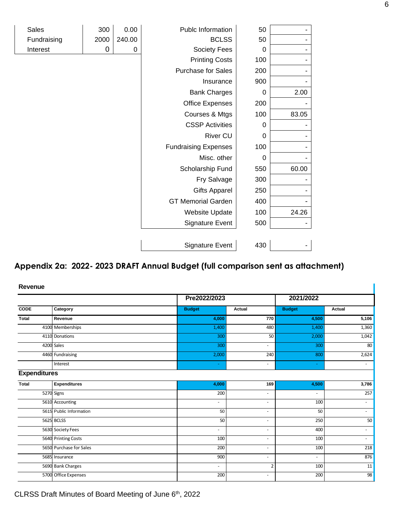| <b>Sales</b> | 300  | 0.00   | Publc Information           | 50          |       |
|--------------|------|--------|-----------------------------|-------------|-------|
| Fundraising  | 2000 | 240.00 | <b>BCLSS</b>                | 50          |       |
| Interest     | 0    | 0      | Society Fees                | 0           |       |
|              |      |        | <b>Printing Costs</b>       | 100         |       |
|              |      |        | <b>Purchase for Sales</b>   | 200         |       |
|              |      |        | Insurance                   | 900         |       |
|              |      |        | <b>Bank Charges</b>         | 0           | 2.00  |
|              |      |        | <b>Office Expenses</b>      | 200         |       |
|              |      |        | Courses & Mtgs              | 100         | 83.05 |
|              |      |        | <b>CSSP Activities</b>      | $\mathbf 0$ |       |
|              |      |        | River CU                    | 0           |       |
|              |      |        | <b>Fundraising Expenses</b> | 100         |       |
|              |      |        | Misc. other                 | 0           |       |
|              |      |        | Scholarship Fund            | 550         | 60.00 |
|              |      |        | Fry Salvage                 | 300         |       |
|              |      |        | <b>Gifts Apparel</b>        | 250         |       |
|              |      |        | <b>GT Memorial Garden</b>   | 400         |       |
|              |      |        | <b>Website Update</b>       | 100         | 24.26 |
|              |      |        | <b>Signature Event</b>      | 500         |       |
|              |      |        |                             |             |       |
|              |      |        | <b>Signature Event</b>      | 430         |       |

# **Appendix 2a: 2022- 2023 DRAFT Annual Budget (full comparison sent as attachment)**

|                     |                         | Pre2022/2023             |                          | 2021/2022     |                          |
|---------------------|-------------------------|--------------------------|--------------------------|---------------|--------------------------|
| <b>CODE</b>         | Category                | <b>Budget</b>            | <b>Actual</b>            | <b>Budget</b> | Actual                   |
| <b>Total</b>        | Revenue                 | 4,000                    | 770                      | 4,500         | 5,106                    |
|                     | 4100 Memberships        | 1,400                    | 480                      | 1,400         | 1,360                    |
|                     | 4110 Donations          | 300                      | 50                       | 2,000         | 1,042                    |
|                     | 4200 Sales              | 300                      | ٠                        | 300           | 80                       |
|                     | 4460 Fundraising        | 2,000                    | 240                      | 800           | 2,624                    |
|                     | Interest                | $\sim$                   | $\sim$                   | ٠             | ٠                        |
| <b>Expenditures</b> |                         |                          |                          |               |                          |
| <b>Total</b>        | <b>Expenditures</b>     | 4,000                    | 169                      | 4,500         | 3,786                    |
|                     | 5270 Signs              | 200                      | $\overline{\phantom{a}}$ | $\sim$        | 257                      |
|                     | 5610 Accounting         | $\overline{\phantom{a}}$ | ٠                        | 100           | ٠                        |
|                     | 5615 Public Information | 50                       | $\sim$                   | 50            | $\sim$                   |
|                     | 5625 BCLSS              | 50                       | $\overline{\phantom{a}}$ | 250           | 50                       |
|                     | 5630 Society Fees       | ٠                        | $\overline{\phantom{a}}$ | 400           | ٠                        |
|                     | 5640 Printing Costs     | 100                      | $\overline{\phantom{a}}$ | 100           | $\overline{\phantom{a}}$ |
|                     | 5650 Purchase for Sales | 200                      | $\overline{\phantom{m}}$ | 100           | 218                      |
|                     | 5685 Insurance          | 900                      | $\overline{\phantom{a}}$ | $\sim$        | 876                      |
|                     | 5690 Bank Charges       | $\sim$                   | $\overline{2}$           | 100           | 11                       |
|                     | 5700 Office Expenses    | 200                      | $\overline{\phantom{a}}$ | 200           | $\overline{98}$          |

CLRSS Draft Minutes of Board Meeting of June 6<sup>th</sup>, 2022

I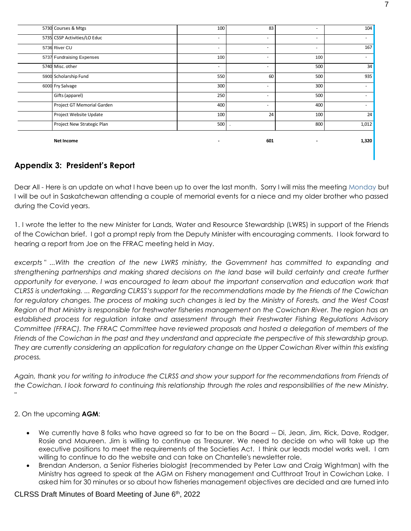| 5730 Courses & Mtgs          | 100    | 83                       | ٠   | 104    |
|------------------------------|--------|--------------------------|-----|--------|
| 5735 CSSP Activities/LO Educ | $\sim$ | ٠                        | ٠   | $\sim$ |
| 5736 River CU                | ۰.     | ٠                        | ٠   | 167    |
| 5737 Fundraising Expenses    | 100    | ٠                        | 100 |        |
| 5740 Misc. other             | $\sim$ | $\sim$                   | 500 | 34     |
| 5900 Scholarship Fund        | 550    | 60                       | 500 | 935    |
| 6000 Fry Salvage             | 300    | $\overline{\phantom{a}}$ | 300 |        |
| Gifts (apparel)              | 250    | $\sim$                   | 500 |        |
| Project GT Memorial Garden   | 400    | $\sim$                   | 400 |        |
| Project Website Update       | 100    | 24                       | 100 | 24     |
| Project New Strategic Plan   | 500    |                          | 800 | 1,012  |
|                              |        |                          |     |        |
| <b>Net Income</b>            |        | 601                      |     | 1,320  |

## **Appendix 3: President's Report**

Dear All - Here is an update on what I have been up to over the last month. Sorry I will miss the meeting Monday but I will be out in Saskatchewan attending a couple of memorial events for a niece and my older brother who passed during the Covid years.

1. I wrote the letter to the new Minister for Lands, Water and Resource Stewardship (LWRS) in support of the Friends of the Cowichan brief. I got a prompt reply from the Deputy Minister with encouraging comments. I look forward to hearing a report from Joe on the FFRAC meeting held in May.

*excerpts " ...With the creation of the new LWRS ministry, the Government has committed to expanding and strengthening partnerships and making shared decisions on the land base will build certainty and create further opportunity for everyone. I was encouraged to learn about the important conservation and education work that CLRSS is undertaking. ... Regarding CLRSS's support for the recommendations made by the Friends of the Cowichan for regulatory changes. The process of making such changes is led by the Ministry of Forests, and the West Coast Region of that Ministry is responsible for freshwater fisheries management on the Cowichan River. The region has an established process for regulation intake and assessment through their Freshwater Fishing Regulations Advisory Committee (FFRAC). The FFRAC Committee have reviewed proposals and hosted a delegation of members of the Friends of the Cowichan in the past and they understand and appreciate the perspective of this stewardship group. They are currently considering an application for regulatory change on the Upper Cowichan River within this existing process.*

*Again, thank you for writing to introduce the CLRSS and show your support for the recommendations from Friends of the Cowichan. I look forward to continuing this relationship through the roles and responsibilities of the new Ministry. "*

2. On the upcoming **AGM**:

- We currently have 8 folks who have agreed so far to be on the Board -- Di, Jean, Jim, Rick, Dave, Rodger, Rosie and Maureen. Jim is willing to continue as Treasurer. We need to decide on who will take up the executive positions to meet the requirements of the Societies Act. I think our leads model works well. I am willing to continue to do the website and can take on Chantelle's newsletter role.
- Brendan Anderson, a Senior Fisheries biologist (recommended by Peter Law and Craig Wightman) with the Ministry has agreed to speak at the AGM on Fishery management and Cutthroat Trout in Cowichan Lake. I asked him for 30 minutes or so about how fisheries management objectives are decided and are turned into

#### CLRSS Draft Minutes of Board Meeting of June 6th, 2022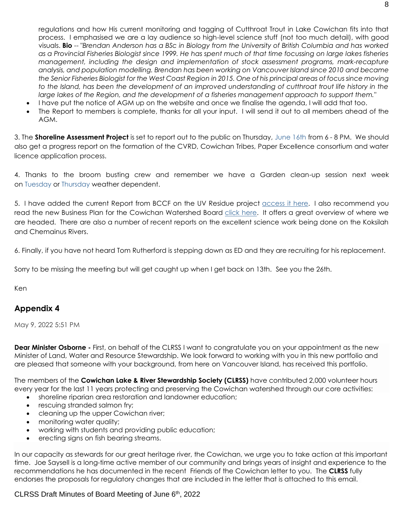regulations and how His current monitoring and tagging of Cutthroat Trout in Lake Cowichan fits into that process. I emphasised we are a lay audience so high-level science stuff (not too much detail), with good visuals. **Bio** -- "*Brendan Anderson has a BSc in Biology from the University of British Columbia and has worked as a Provincial Fisheries Biologist since 1999. He has spent much of that time focussing on large lakes fisheries management, including the design and implementation of stock assessment programs, mark-recapture analysis, and population modelling. Brendan has been working on Vancouver Island since 2010 and became the Senior Fisheries Biologist for the West Coast Region in 2015. One of his principal areas of focus since moving*  to the Island, has been the development of an improved understanding of cutthroat trout life history in the *large lakes of the Region, and the development of a fisheries management approach to support them."* 

- I have put the notice of AGM up on the website and once we finalise the agenda, I will add that too.
- The Report to members is complete, thanks for all your input. I will send it out to all members ahead of the AGM.

3. The **Shoreline Assessment Project** is set to report out to the public on Thursday, June 16th from 6 - 8 PM. We should also get a progress report on the formation of the CVRD, Cowichan Tribes, Paper Excellence consortium and water licence application process.

4. Thanks to the broom busting crew and remember we have a Garden clean-up session next week on Tuesday or Thursday weather dependent.

5. I have added the current Report from BCCF on the UV Residue project [access it here.](https://www.cowichan-lake-stewards.ca/_files/ugd/6bb0e5_68401335de974c9ca5e1afdcd4136d5a.pdf) I also recommend you read the new Business Plan for the Cowichan Watershed Board [click here.](https://cowichanwatershedboard.ca/wp-content/uploads/2022/04/CWB_Business_Plan_2022-draft-8-fnl-for-review.pdf) It offers a great overview of where we are headed. There are also a number of recent reports on the excellent science work being done on the Koksilah and Chemainus Rivers.

6. Finally, if you have not heard Tom Rutherford is stepping down as ED and they are recruiting for his replacement.

Sorry to be missing the meeting but will get caught up when I get back on 13th. See you the 26th.

Ken

## **Appendix 4**

May 9, 2022 5:51 PM

**Dear Minister Osborne -** First, on behalf of the CLRSS I want to congratulate you on your appointment as the new Minister of Land, Water and Resource Stewardship. We look forward to working with you in this new portfolio and are pleased that someone with your background, from here on Vancouver Island, has received this portfolio.

The members of the **Cowichan Lake & River Stewardship Society (CLRSS)** have contributed 2,000 volunteer hours every year for the last 11 years protecting and preserving the Cowichan watershed through our core activities:

- shoreline riparian area restoration and landowner education;
- rescuing stranded salmon fry;
- cleaning up the upper Cowichan river;
- monitoring water quality;
- working with students and providing public education;
- erecting signs on fish bearing streams.

In our capacity as stewards for our great heritage river, the Cowichan, we urge you to take action at this important time. Joe Saysell is a long-time active member of our community and brings years of insight and experience to the recommendations he has documented in the recent Friends of the Cowichan letter to you. The **CLRSS** fully endorses the proposals for regulatory changes that are included in the letter that is attached to this email.

#### CLRSS Draft Minutes of Board Meeting of June 6th, 2022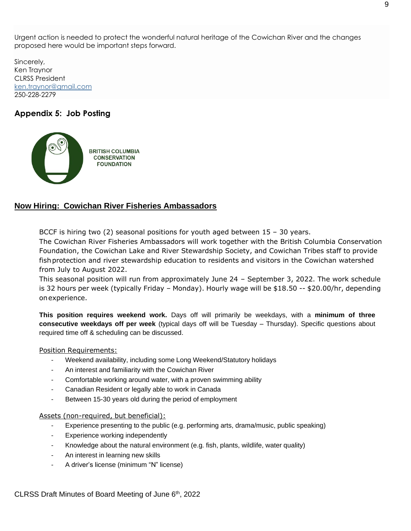Urgent action is needed to protect the wonderful natural heritage of the Cowichan River and the changes proposed here would be important steps forward.

Sincerely, Ken Traynor CLRSS President [ken.traynor@gmail.com](mailto:ken.traynor@gmail.com) 250-228-2279

## **Appendix 5: Job Posting**



## **Now Hiring: Cowichan River Fisheries Ambassadors**

BCCF is hiring two  $(2)$  seasonal positions for youth aged between  $15 - 30$  years.

The Cowichan River Fisheries Ambassadors will work together with the British Columbia Conservation Foundation, the Cowichan Lake and River Stewardship Society, and Cowichan Tribes staff to provide fishprotection and river stewardship education to residents and visitors in the Cowichan watershed from July to August 2022.

This seasonal position will run from approximately June 24 – September 3, 2022. The work schedule is 32 hours per week (typically Friday – Monday). Hourly wage will be \$18.50 -- \$20.00/hr, depending onexperience.

**This position requires weekend work.** Days off will primarily be weekdays, with a **minimum of three consecutive weekdays off per week** (typical days off will be Tuesday – Thursday). Specific questions about required time off & scheduling can be discussed.

#### Position Requirements:

- Weekend availability, including some Long Weekend/Statutory holidays
- An interest and familiarity with the Cowichan River
- Comfortable working around water, with a proven swimming ability
- Canadian Resident or legally able to work in Canada
- Between 15-30 years old during the period of employment

Assets (non-required, but beneficial):

- Experience presenting to the public (e.g. performing arts, drama/music, public speaking)
- Experience working independently
- Knowledge about the natural environment (e.g. fish, plants, wildlife, water quality)
- An interest in learning new skills
- A driver's license (minimum "N" license)

CLRSS Draft Minutes of Board Meeting of June 6th, 2022